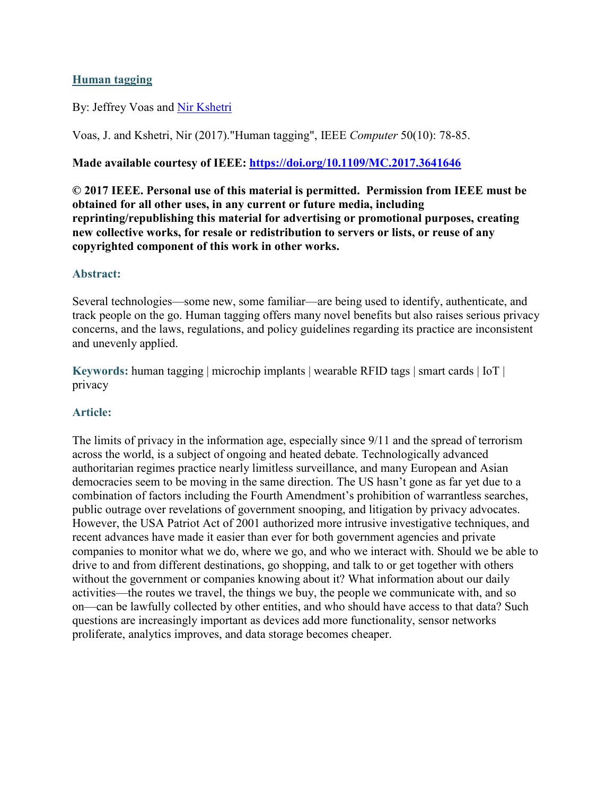### **Human tagging**

### By: Jeffrey Voas and [Nir Kshetri](https://libres.uncg.edu/ir/uncg/clist.aspx?id=760)

Voas, J. and Kshetri, Nir (2017)."Human tagging", IEEE *Computer* 50(10): 78-85.

#### **Made available courtesy of IEEE:<https://doi.org/10.1109/MC.2017.3641646>**

**© 2017 IEEE. Personal use of this material is permitted. Permission from IEEE must be obtained for all other uses, in any current or future media, including reprinting/republishing this material for advertising or promotional purposes, creating new collective works, for resale or redistribution to servers or lists, or reuse of any copyrighted component of this work in other works.**

#### **Abstract:**

Several technologies—some new, some familiar—are being used to identify, authenticate, and track people on the go. Human tagging offers many novel benefits but also raises serious privacy concerns, and the laws, regulations, and policy guidelines regarding its practice are inconsistent and unevenly applied.

**Keywords:** human tagging | microchip implants | wearable RFID tags | smart cards | IoT | privacy

#### **Article:**

The limits of privacy in the information age, especially since 9/11 and the spread of terrorism across the world, is a subject of ongoing and heated debate. Technologically advanced authoritarian regimes practice nearly limitless surveillance, and many European and Asian democracies seem to be moving in the same direction. The US hasn't gone as far yet due to a combination of factors including the Fourth Amendment's prohibition of warrantless searches, public outrage over revelations of government snooping, and litigation by privacy advocates. However, the USA Patriot Act of 2001 authorized more intrusive investigative techniques, and recent advances have made it easier than ever for both government agencies and private companies to monitor what we do, where we go, and who we interact with. Should we be able to drive to and from different destinations, go shopping, and talk to or get together with others without the government or companies knowing about it? What information about our daily activities—the routes we travel, the things we buy, the people we communicate with, and so on—can be lawfully collected by other entities, and who should have access to that data? Such questions are increasingly important as devices add more functionality, sensor networks proliferate, analytics improves, and data storage becomes cheaper.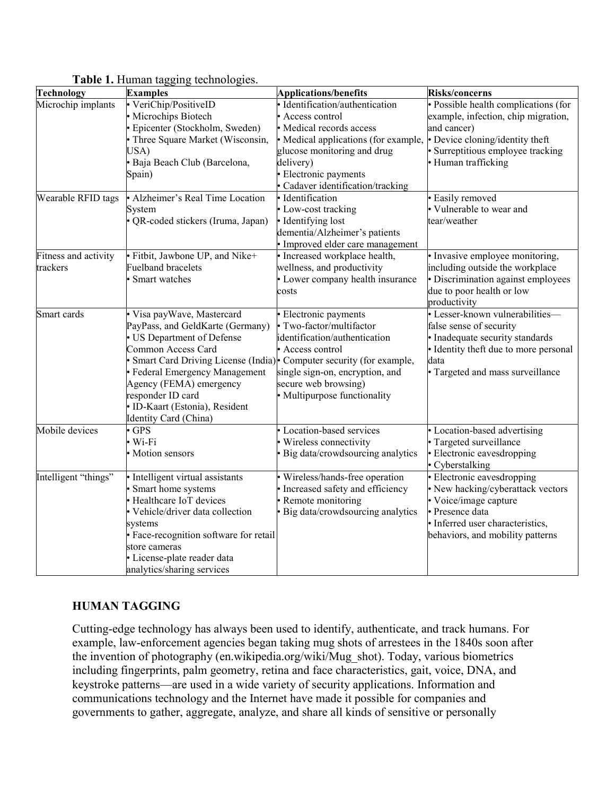| <b>Technology</b>    | <b>Examples</b>                                                    | <b>Applications/benefits</b>         | <b>Risks/concerns</b>               |
|----------------------|--------------------------------------------------------------------|--------------------------------------|-------------------------------------|
| Microchip implants   | · VeriChip/PositiveID                                              | Identification/authentication        | Possible health complications (for  |
|                      | · Microchips Biotech                                               | • Access control                     | example, infection, chip migration, |
|                      | · Epicenter (Stockholm, Sweden)                                    | · Medical records access             | and cancer)                         |
|                      | • Three Square Market (Wisconsin,                                  | • Medical applications (for example, | Device cloning/identity theft       |
|                      | USA)                                                               | glucose monitoring and drug          | Surreptitious employee tracking     |
|                      | · Baja Beach Club (Barcelona,                                      | delivery)                            | Human trafficking                   |
|                      | Spain)                                                             | · Electronic payments                |                                     |
|                      |                                                                    | · Cadaver identification/tracking    |                                     |
| Wearable RFID tags   | · Alzheimer's Real Time Location                                   | · Identification                     | Easily removed                      |
|                      | System                                                             | • Low-cost tracking                  | Vulnerable to wear and              |
|                      | • QR-coded stickers (Iruma, Japan)                                 | • Identifying lost                   | tear/weather                        |
|                      |                                                                    | dementia/Alzheimer's patients        |                                     |
|                      |                                                                    | · Improved elder care management     |                                     |
| Fitness and activity | · Fitbit, Jawbone UP, and Nike+                                    | · Increased workplace health,        | · Invasive employee monitoring,     |
| trackers             | Fuelband bracelets                                                 | wellness, and productivity           | including outside the workplace     |
|                      | Smart watches                                                      | • Lower company health insurance     | Discrimination against employees    |
|                      |                                                                    | costs                                | due to poor health or low           |
|                      |                                                                    |                                      | productivity                        |
| Smart cards          | · Visa payWave, Mastercard                                         | · Electronic payments                | Lesser-known vulnerabilities-       |
|                      | PayPass, and GeldKarte (Germany)                                   | · Two-factor/multifactor             | false sense of security             |
|                      | • US Department of Defense                                         | identification/authentication        | Inadequate security standards       |
|                      | Common Access Card                                                 | • Access control                     | Identity theft due to more personal |
|                      | Smart Card Driving License (India) Computer security (for example, |                                      | data                                |
|                      | · Federal Emergency Management                                     | single sign-on, encryption, and      | · Targeted and mass surveillance    |
|                      | Agency (FEMA) emergency                                            | secure web browsing)                 |                                     |
|                      | responder ID card                                                  | · Multipurpose functionality         |                                     |
|                      | · ID-Kaart (Estonia), Resident                                     |                                      |                                     |
|                      | Identity Card (China)                                              |                                      |                                     |
| Mobile devices       | $\cdot$ GPS                                                        | Location-based services              | Location-based advertising          |
|                      | $\cdot$ Wi-Fi                                                      | · Wireless connectivity              | Targeted surveillance               |
|                      | • Motion sensors                                                   | Big data/crowdsourcing analytics     | Electronic eavesdropping            |
|                      |                                                                    |                                      | Cyberstalking                       |
| Intelligent "things" | · Intelligent virtual assistants                                   | · Wireless/hands-free operation      | Electronic eavesdropping            |
|                      | Smart home systems                                                 | Increased safety and efficiency      | New hacking/cyberattack vectors     |
|                      | · Healthcare IoT devices                                           | Remote monitoring                    | Voice/image capture                 |
|                      | · Vehicle/driver data collection                                   | · Big data/crowdsourcing analytics   | Presence data                       |
|                      | systems                                                            |                                      | Inferred user characteristics,      |
|                      | · Face-recognition software for retail                             |                                      | behaviors, and mobility patterns    |
|                      | store cameras                                                      |                                      |                                     |
|                      | · License-plate reader data                                        |                                      |                                     |
|                      | analytics/sharing services                                         |                                      |                                     |

**Table 1.** Human tagging technologies.

## **HUMAN TAGGING**

Cutting-edge technology has always been used to identify, authenticate, and track humans. For example, law-enforcement agencies began taking mug shots of arrestees in the 1840s soon after the invention of photography (en.wikipedia.org/wiki/Mug\_shot). Today, various biometrics including fingerprints, palm geometry, retina and face characteristics, gait, voice, DNA, and keystroke patterns—are used in a wide variety of security applications. Information and communications technology and the Internet have made it possible for companies and governments to gather, aggregate, analyze, and share all kinds of sensitive or personally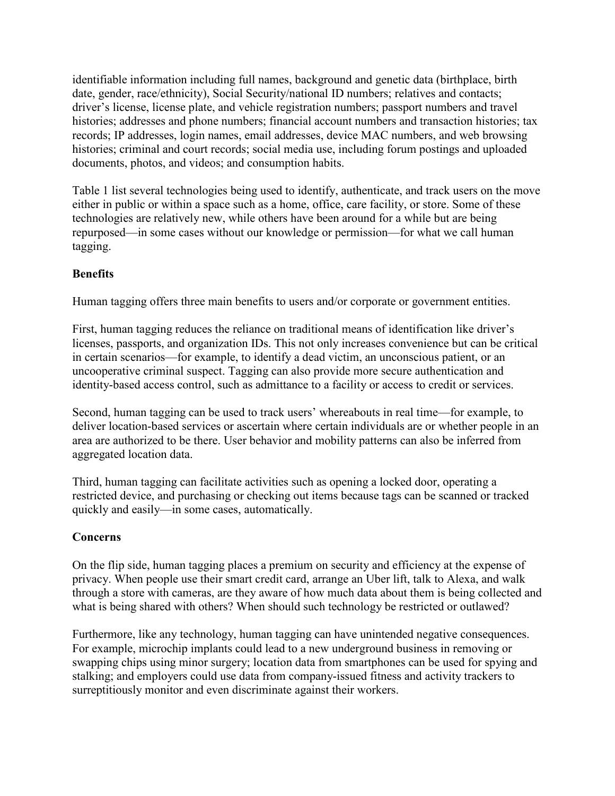identifiable information including full names, background and genetic data (birthplace, birth date, gender, race/ethnicity), Social Security/national ID numbers; relatives and contacts; driver's license, license plate, and vehicle registration numbers; passport numbers and travel histories; addresses and phone numbers; financial account numbers and transaction histories; tax records; IP addresses, login names, email addresses, device MAC numbers, and web browsing histories; criminal and court records; social media use, including forum postings and uploaded documents, photos, and videos; and consumption habits.

Table 1 list several technologies being used to identify, authenticate, and track users on the move either in public or within a space such as a home, office, care facility, or store. Some of these technologies are relatively new, while others have been around for a while but are being repurposed—in some cases without our knowledge or permission—for what we call human tagging.

## **Benefits**

Human tagging offers three main benefits to users and/or corporate or government entities.

First, human tagging reduces the reliance on traditional means of identification like driver's licenses, passports, and organization IDs. This not only increases convenience but can be critical in certain scenarios—for example, to identify a dead victim, an unconscious patient, or an uncooperative criminal suspect. Tagging can also provide more secure authentication and identity-based access control, such as admittance to a facility or access to credit or services.

Second, human tagging can be used to track users' whereabouts in real time—for example, to deliver location-based services or ascertain where certain individuals are or whether people in an area are authorized to be there. User behavior and mobility patterns can also be inferred from aggregated location data.

Third, human tagging can facilitate activities such as opening a locked door, operating a restricted device, and purchasing or checking out items because tags can be scanned or tracked quickly and easily—in some cases, automatically.

## **Concerns**

On the flip side, human tagging places a premium on security and efficiency at the expense of privacy. When people use their smart credit card, arrange an Uber lift, talk to Alexa, and walk through a store with cameras, are they aware of how much data about them is being collected and what is being shared with others? When should such technology be restricted or outlawed?

Furthermore, like any technology, human tagging can have unintended negative consequences. For example, microchip implants could lead to a new underground business in removing or swapping chips using minor surgery; location data from smartphones can be used for spying and stalking; and employers could use data from company-issued fitness and activity trackers to surreptitiously monitor and even discriminate against their workers.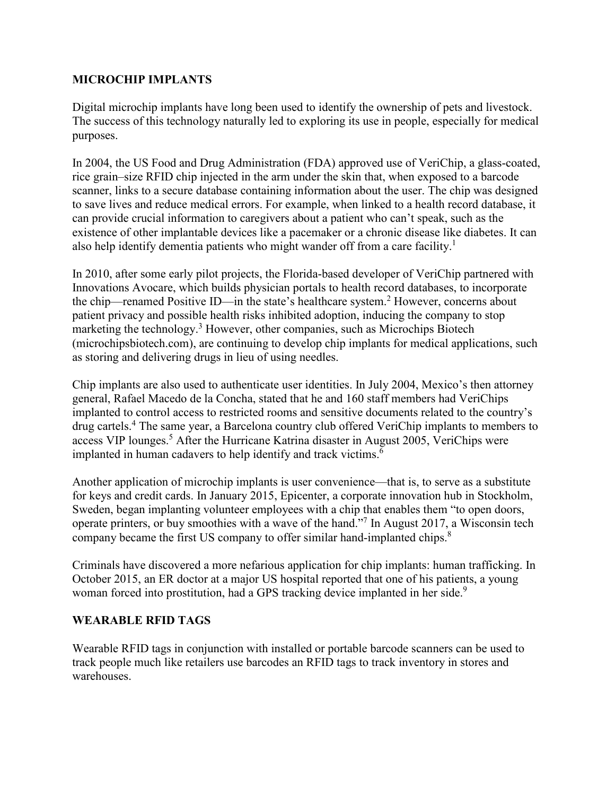## **MICROCHIP IMPLANTS**

Digital microchip implants have long been used to identify the ownership of pets and livestock. The success of this technology naturally led to exploring its use in people, especially for medical purposes.

In 2004, the US Food and Drug Administration (FDA) approved use of VeriChip, a glass-coated, rice grain–size RFID chip injected in the arm under the skin that, when exposed to a barcode scanner, links to a secure database containing information about the user. The chip was designed to save lives and reduce medical errors. For example, when linked to a health record database, it can provide crucial information to caregivers about a patient who can't speak, such as the existence of other implantable devices like a pacemaker or a chronic disease like diabetes. It can also help identify dementia patients who might wander off from a care facility.<sup>1</sup>

In 2010, after some early pilot projects, the Florida-based developer of VeriChip partnered with Innovations Avocare, which builds physician portals to health record databases, to incorporate the chip—renamed Positive ID—in the state's healthcare system.<sup>2</sup> However, concerns about patient privacy and possible health risks inhibited adoption, inducing the company to stop marketing the technology.<sup>3</sup> However, other companies, such as Microchips Biotech (microchipsbiotech.com), are continuing to develop chip implants for medical applications, such as storing and delivering drugs in lieu of using needles.

Chip implants are also used to authenticate user identities. In July 2004, Mexico's then attorney general, Rafael Macedo de la Concha, stated that he and 160 staff members had VeriChips implanted to control access to restricted rooms and sensitive documents related to the country's drug cartels.<sup>4</sup> The same year, a Barcelona country club offered VeriChip implants to members to access VIP lounges.<sup>5</sup> After the Hurricane Katrina disaster in August 2005, VeriChips were implanted in human cadavers to help identify and track victims.<sup>6</sup>

Another application of microchip implants is user convenience—that is, to serve as a substitute for keys and credit cards. In January 2015, Epicenter, a corporate innovation hub in Stockholm, Sweden, began implanting volunteer employees with a chip that enables them "to open doors, operate printers, or buy smoothies with a wave of the hand."7 In August 2017, a Wisconsin tech company became the first US company to offer similar hand-implanted chips.<sup>8</sup>

Criminals have discovered a more nefarious application for chip implants: human trafficking. In October 2015, an ER doctor at a major US hospital reported that one of his patients, a young woman forced into prostitution, had a GPS tracking device implanted in her side.<sup>9</sup>

## **WEARABLE RFID TAGS**

Wearable RFID tags in conjunction with installed or portable barcode scanners can be used to track people much like retailers use barcodes an RFID tags to track inventory in stores and warehouses.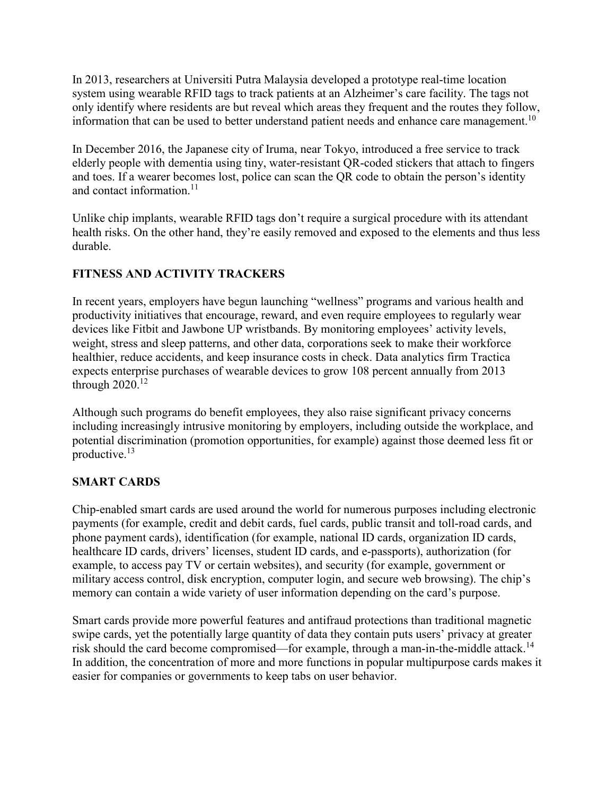In 2013, researchers at Universiti Putra Malaysia developed a prototype real-time location system using wearable RFID tags to track patients at an Alzheimer's care facility. The tags not only identify where residents are but reveal which areas they frequent and the routes they follow, information that can be used to better understand patient needs and enhance care management.<sup>10</sup>

In December 2016, the Japanese city of Iruma, near Tokyo, introduced a free service to track elderly people with dementia using tiny, water-resistant QR-coded stickers that attach to fingers and toes. If a wearer becomes lost, police can scan the QR code to obtain the person's identity and contact information.<sup>11</sup>

Unlike chip implants, wearable RFID tags don't require a surgical procedure with its attendant health risks. On the other hand, they're easily removed and exposed to the elements and thus less durable.

# **FITNESS AND ACTIVITY TRACKERS**

In recent years, employers have begun launching "wellness" programs and various health and productivity initiatives that encourage, reward, and even require employees to regularly wear devices like Fitbit and Jawbone UP wristbands. By monitoring employees' activity levels, weight, stress and sleep patterns, and other data, corporations seek to make their workforce healthier, reduce accidents, and keep insurance costs in check. Data analytics firm Tractica expects enterprise purchases of wearable devices to grow 108 percent annually from 2013 through 2020.12

Although such programs do benefit employees, they also raise significant privacy concerns including increasingly intrusive monitoring by employers, including outside the workplace, and potential discrimination (promotion opportunities, for example) against those deemed less fit or productive.13

## **SMART CARDS**

Chip-enabled smart cards are used around the world for numerous purposes including electronic payments (for example, credit and debit cards, fuel cards, public transit and toll-road cards, and phone payment cards), identification (for example, national ID cards, organization ID cards, healthcare ID cards, drivers' licenses, student ID cards, and e-passports), authorization (for example, to access pay TV or certain websites), and security (for example, government or military access control, disk encryption, computer login, and secure web browsing). The chip's memory can contain a wide variety of user information depending on the card's purpose.

Smart cards provide more powerful features and antifraud protections than traditional magnetic swipe cards, yet the potentially large quantity of data they contain puts users' privacy at greater risk should the card become compromised—for example, through a man-in-the-middle attack.14 In addition, the concentration of more and more functions in popular multipurpose cards makes it easier for companies or governments to keep tabs on user behavior.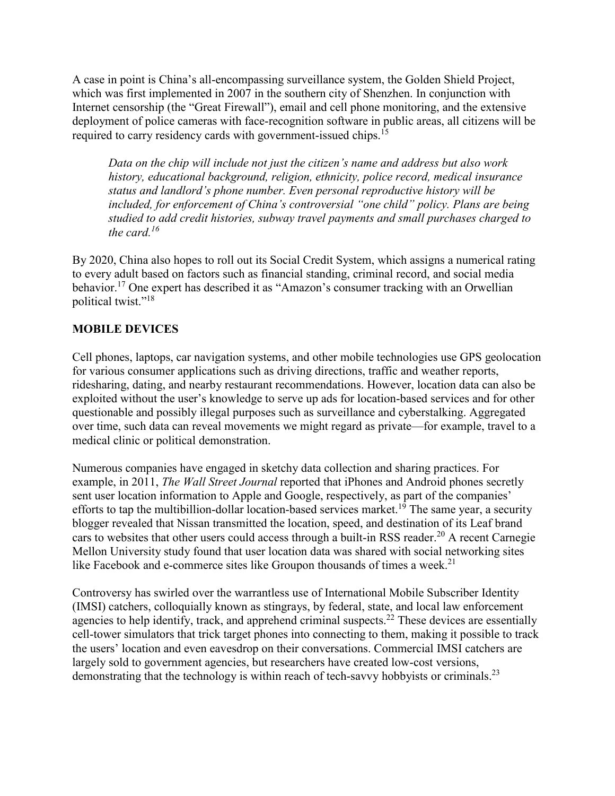A case in point is China's all-encompassing surveillance system, the Golden Shield Project, which was first implemented in 2007 in the southern city of Shenzhen. In conjunction with Internet censorship (the "Great Firewall"), email and cell phone monitoring, and the extensive deployment of police cameras with face-recognition software in public areas, all citizens will be required to carry residency cards with government-issued chips.<sup>15</sup>

*Data on the chip will include not just the citizen's name and address but also work history, educational background, religion, ethnicity, police record, medical insurance status and landlord's phone number. Even personal reproductive history will be included, for enforcement of China's controversial "one child" policy. Plans are being studied to add credit histories, subway travel payments and small purchases charged to the card.16*

By 2020, China also hopes to roll out its Social Credit System, which assigns a numerical rating to every adult based on factors such as financial standing, criminal record, and social media behavior.<sup>17</sup> One expert has described it as "Amazon's consumer tracking with an Orwellian political twist."18

# **MOBILE DEVICES**

Cell phones, laptops, car navigation systems, and other mobile technologies use GPS geolocation for various consumer applications such as driving directions, traffic and weather reports, ridesharing, dating, and nearby restaurant recommendations. However, location data can also be exploited without the user's knowledge to serve up ads for location-based services and for other questionable and possibly illegal purposes such as surveillance and cyberstalking. Aggregated over time, such data can reveal movements we might regard as private—for example, travel to a medical clinic or political demonstration.

Numerous companies have engaged in sketchy data collection and sharing practices. For example, in 2011, *The Wall Street Journal* reported that *iPhones* and Android phones secretly sent user location information to Apple and Google, respectively, as part of the companies' efforts to tap the multibillion-dollar location-based services market.<sup>19</sup> The same year, a security blogger revealed that Nissan transmitted the location, speed, and destination of its Leaf brand cars to websites that other users could access through a built-in RSS reader.<sup>20</sup> A recent Carnegie Mellon University study found that user location data was shared with social networking sites like Facebook and e-commerce sites like Groupon thousands of times a week.<sup>21</sup>

Controversy has swirled over the warrantless use of International Mobile Subscriber Identity (IMSI) catchers, colloquially known as stingrays, by federal, state, and local law enforcement agencies to help identify, track, and apprehend criminal suspects.<sup>22</sup> These devices are essentially cell-tower simulators that trick target phones into connecting to them, making it possible to track the users' location and even eavesdrop on their conversations. Commercial IMSI catchers are largely sold to government agencies, but researchers have created low-cost versions, demonstrating that the technology is within reach of tech-savvy hobbyists or criminals.<sup>23</sup>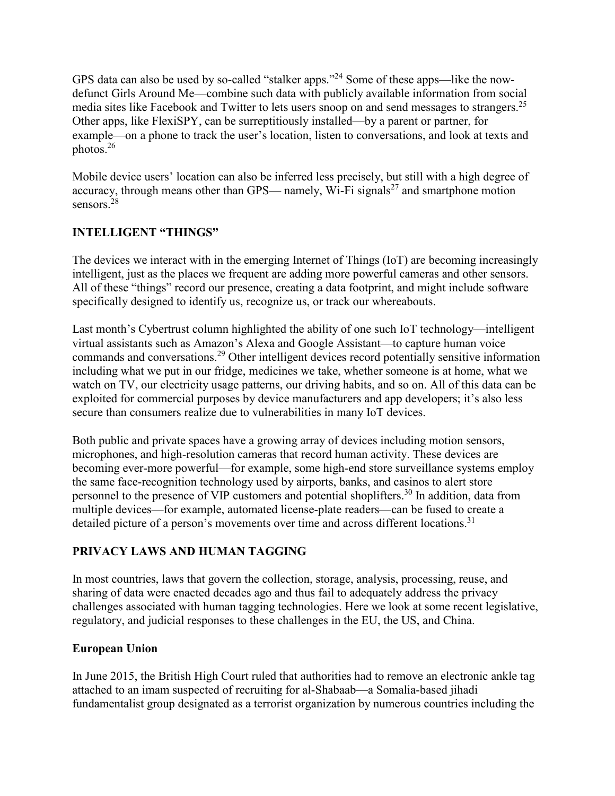GPS data can also be used by so-called "stalker apps."24 Some of these apps—like the nowdefunct Girls Around Me—combine such data with publicly available information from social media sites like Facebook and Twitter to lets users snoop on and send messages to strangers.<sup>25</sup> Other apps, like FlexiSPY, can be surreptitiously installed—by a parent or partner, for example—on a phone to track the user's location, listen to conversations, and look at texts and photos.<sup>26</sup>

Mobile device users' location can also be inferred less precisely, but still with a high degree of accuracy, through means other than GPS— namely, Wi-Fi signals<sup>27</sup> and smartphone motion sensors.<sup>28</sup>

# **INTELLIGENT "THINGS"**

The devices we interact with in the emerging Internet of Things (IoT) are becoming increasingly intelligent, just as the places we frequent are adding more powerful cameras and other sensors. All of these "things" record our presence, creating a data footprint, and might include software specifically designed to identify us, recognize us, or track our whereabouts.

Last month's Cybertrust column highlighted the ability of one such IoT technology—intelligent virtual assistants such as Amazon's Alexa and Google Assistant—to capture human voice commands and conversations.<sup>29</sup> Other intelligent devices record potentially sensitive information including what we put in our fridge, medicines we take, whether someone is at home, what we watch on TV, our electricity usage patterns, our driving habits, and so on. All of this data can be exploited for commercial purposes by device manufacturers and app developers; it's also less secure than consumers realize due to vulnerabilities in many IoT devices.

Both public and private spaces have a growing array of devices including motion sensors, microphones, and high-resolution cameras that record human activity. These devices are becoming ever-more powerful—for example, some high-end store surveillance systems employ the same face-recognition technology used by airports, banks, and casinos to alert store personnel to the presence of VIP customers and potential shoplifters.<sup>30</sup> In addition, data from multiple devices—for example, automated license-plate readers—can be fused to create a detailed picture of a person's movements over time and across different locations.<sup>31</sup>

# **PRIVACY LAWS AND HUMAN TAGGING**

In most countries, laws that govern the collection, storage, analysis, processing, reuse, and sharing of data were enacted decades ago and thus fail to adequately address the privacy challenges associated with human tagging technologies. Here we look at some recent legislative, regulatory, and judicial responses to these challenges in the EU, the US, and China.

## **European Union**

In June 2015, the British High Court ruled that authorities had to remove an electronic ankle tag attached to an imam suspected of recruiting for al-Shabaab—a Somalia-based jihadi fundamentalist group designated as a terrorist organization by numerous countries including the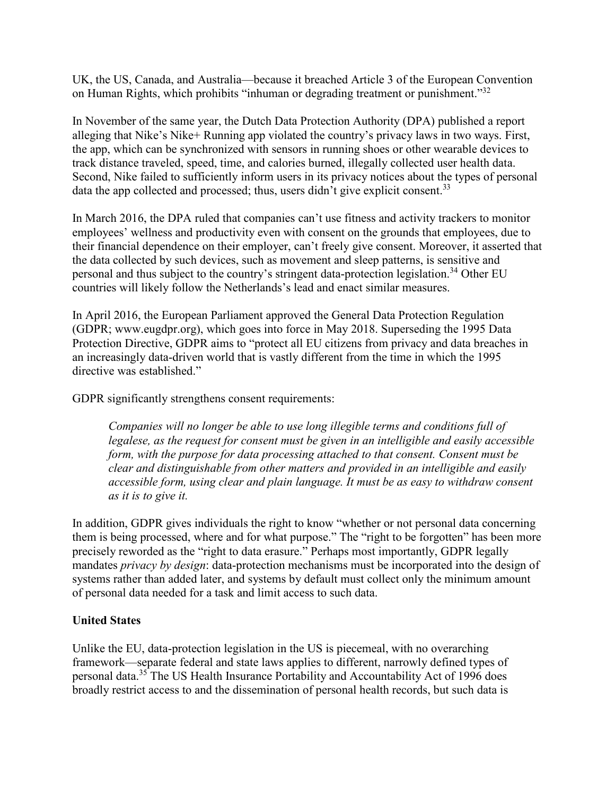UK, the US, Canada, and Australia—because it breached Article 3 of the European Convention on Human Rights, which prohibits "inhuman or degrading treatment or punishment."<sup>32</sup>

In November of the same year, the Dutch Data Protection Authority (DPA) published a report alleging that Nike's Nike+ Running app violated the country's privacy laws in two ways. First, the app, which can be synchronized with sensors in running shoes or other wearable devices to track distance traveled, speed, time, and calories burned, illegally collected user health data. Second, Nike failed to sufficiently inform users in its privacy notices about the types of personal data the app collected and processed; thus, users didn't give explicit consent.<sup>33</sup>

In March 2016, the DPA ruled that companies can't use fitness and activity trackers to monitor employees' wellness and productivity even with consent on the grounds that employees, due to their financial dependence on their employer, can't freely give consent. Moreover, it asserted that the data collected by such devices, such as movement and sleep patterns, is sensitive and personal and thus subject to the country's stringent data-protection legislation.<sup>34</sup> Other EU countries will likely follow the Netherlands's lead and enact similar measures.

In April 2016, the European Parliament approved the General Data Protection Regulation (GDPR; www.eugdpr.org), which goes into force in May 2018. Superseding the 1995 Data Protection Directive, GDPR aims to "protect all EU citizens from privacy and data breaches in an increasingly data-driven world that is vastly different from the time in which the 1995 directive was established."

GDPR significantly strengthens consent requirements:

*Companies will no longer be able to use long illegible terms and conditions full of legalese, as the request for consent must be given in an intelligible and easily accessible form, with the purpose for data processing attached to that consent. Consent must be clear and distinguishable from other matters and provided in an intelligible and easily accessible form, using clear and plain language. It must be as easy to withdraw consent as it is to give it.*

In addition, GDPR gives individuals the right to know "whether or not personal data concerning them is being processed, where and for what purpose." The "right to be forgotten" has been more precisely reworded as the "right to data erasure." Perhaps most importantly, GDPR legally mandates *privacy by design*: data-protection mechanisms must be incorporated into the design of systems rather than added later, and systems by default must collect only the minimum amount of personal data needed for a task and limit access to such data.

## **United States**

Unlike the EU, data-protection legislation in the US is piecemeal, with no overarching framework—separate federal and state laws applies to different, narrowly defined types of personal data.35 The US Health Insurance Portability and Accountability Act of 1996 does broadly restrict access to and the dissemination of personal health records, but such data is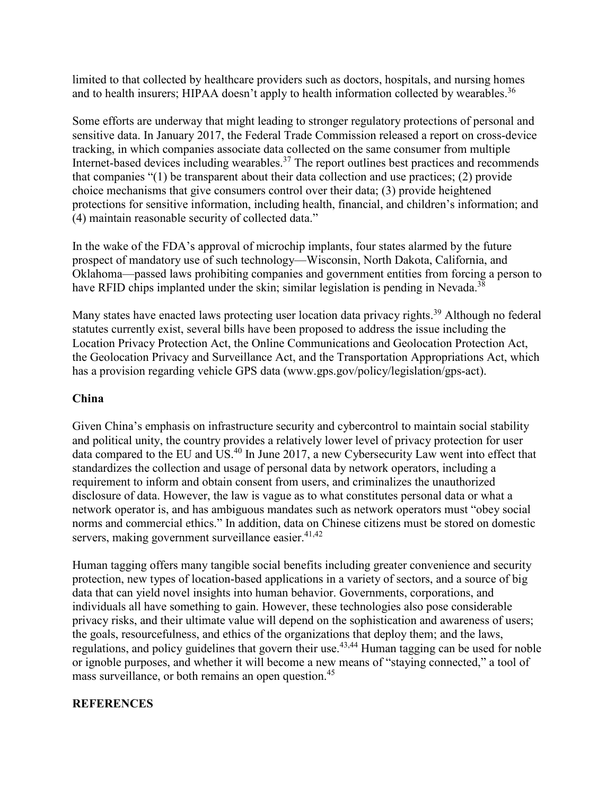limited to that collected by healthcare providers such as doctors, hospitals, and nursing homes and to health insurers; HIPAA doesn't apply to health information collected by wearables.<sup>36</sup>

Some efforts are underway that might leading to stronger regulatory protections of personal and sensitive data. In January 2017, the Federal Trade Commission released a report on cross-device tracking, in which companies associate data collected on the same consumer from multiple Internet-based devices including wearables.<sup>37</sup> The report outlines best practices and recommends that companies "(1) be transparent about their data collection and use practices; (2) provide choice mechanisms that give consumers control over their data; (3) provide heightened protections for sensitive information, including health, financial, and children's information; and (4) maintain reasonable security of collected data."

In the wake of the FDA's approval of microchip implants, four states alarmed by the future prospect of mandatory use of such technology—Wisconsin, North Dakota, California, and Oklahoma—passed laws prohibiting companies and government entities from forcing a person to have RFID chips implanted under the skin; similar legislation is pending in Nevada.<sup>38</sup>

Many states have enacted laws protecting user location data privacy rights.<sup>39</sup> Although no federal statutes currently exist, several bills have been proposed to address the issue including the Location Privacy Protection Act, the Online Communications and Geolocation Protection Act, the Geolocation Privacy and Surveillance Act, and the Transportation Appropriations Act, which has a provision regarding vehicle GPS data (www.gps.gov/policy/legislation/gps-act).

## **China**

Given China's emphasis on infrastructure security and cybercontrol to maintain social stability and political unity, the country provides a relatively lower level of privacy protection for user data compared to the EU and US.40 In June 2017, a new Cybersecurity Law went into effect that standardizes the collection and usage of personal data by network operators, including a requirement to inform and obtain consent from users, and criminalizes the unauthorized disclosure of data. However, the law is vague as to what constitutes personal data or what a network operator is, and has ambiguous mandates such as network operators must "obey social norms and commercial ethics." In addition, data on Chinese citizens must be stored on domestic servers, making government surveillance easier.  $41,42$ 

Human tagging offers many tangible social benefits including greater convenience and security protection, new types of location-based applications in a variety of sectors, and a source of big data that can yield novel insights into human behavior. Governments, corporations, and individuals all have something to gain. However, these technologies also pose considerable privacy risks, and their ultimate value will depend on the sophistication and awareness of users; the goals, resourcefulness, and ethics of the organizations that deploy them; and the laws, regulations, and policy guidelines that govern their use.43,44 Human tagging can be used for noble or ignoble purposes, and whether it will become a new means of "staying connected," a tool of mass surveillance, or both remains an open question.<sup>45</sup>

#### **REFERENCES**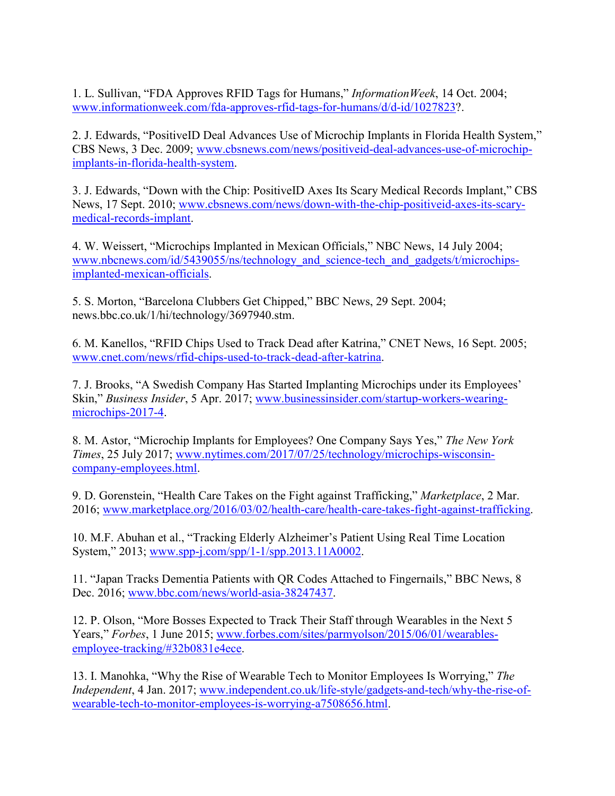1. L. Sullivan, "FDA Approves RFID Tags for Humans," *InformationWeek*, 14 Oct. 2004; [www.informationweek.com/fda-approves-rfid-tags-for-humans/d/d-id/1027823?](http://www.informationweek.com/fda-approves-rfid-tags-for-humans/d/d-id/1027823).

2. J. Edwards, "PositiveID Deal Advances Use of Microchip Implants in Florida Health System," CBS News, 3 Dec. 2009; [www.cbsnews.com/news/positiveid-deal-advances-use-of-microchip](http://www.cbsnews.com/news/positiveid-deal-advances-use-of-microchip-implants-in-florida-health-system)[implants-in-florida-health-system.](http://www.cbsnews.com/news/positiveid-deal-advances-use-of-microchip-implants-in-florida-health-system)

3. J. Edwards, "Down with the Chip: PositiveID Axes Its Scary Medical Records Implant," CBS News, 17 Sept. 2010; [www.cbsnews.com/news/down-with-the-chip-positiveid-axes-its-scary](http://www.cbsnews.com/news/down-with-the-chip-positiveid-axes-its-scary-medical-records-implant)[medical-records-implant.](http://www.cbsnews.com/news/down-with-the-chip-positiveid-axes-its-scary-medical-records-implant)

4. W. Weissert, "Microchips Implanted in Mexican Officials," NBC News, 14 July 2004; www.nbcnews.com/id/5439055/ns/technology and science-tech and gadgets/t/microchips[implanted-mexican-officials.](http://www.nbcnews.com/id/5439055/ns/technology_and_science-tech_and_gadgets/t/microchips-implanted-mexican-officials)

5. S. Morton, "Barcelona Clubbers Get Chipped," BBC News, 29 Sept. 2004; news.bbc.co.uk/1/hi/technology/3697940.stm.

6. M. Kanellos, "RFID Chips Used to Track Dead after Katrina," CNET News, 16 Sept. 2005; [www.cnet.com/news/rfid-chips-used-to-track-dead-after-katrina.](http://www.cnet.com/news/rfid-chips-used-to-track-dead-after-katrina)

7. J. Brooks, "A Swedish Company Has Started Implanting Microchips under its Employees' Skin," *Business Insider*, 5 Apr. 2017; [www.businessinsider.com/startup-workers-wearing](http://www.businessinsider.com/startup-workers-wearing-microchips-2017-4)[microchips-2017-4.](http://www.businessinsider.com/startup-workers-wearing-microchips-2017-4)

8. M. Astor, "Microchip Implants for Employees? One Company Says Yes," *The New York Times*, 25 July 2017; [www.nytimes.com/2017/07/25/technology/microchips-wisconsin](http://www.nytimes.com/2017/07/25/technology/microchips-wisconsin-company-employees.html)[company-employees.html.](http://www.nytimes.com/2017/07/25/technology/microchips-wisconsin-company-employees.html)

9. D. Gorenstein, "Health Care Takes on the Fight against Trafficking," *Marketplace*, 2 Mar. 2016; [www.marketplace.org/2016/03/02/health-care/health-care-takes-fight-against-trafficking.](http://www.marketplace.org/2016/03/02/health-care/health-care-takes-fight-against-trafficking)

10. M.F. Abuhan et al., "Tracking Elderly Alzheimer's Patient Using Real Time Location System," 2013; [www.spp-j.com/spp/1-1/spp.2013.11A0002.](http://www.spp-j.com/spp/1-1/spp.2013.11A0002)

11. "Japan Tracks Dementia Patients with QR Codes Attached to Fingernails," BBC News, 8 Dec. 2016; [www.bbc.com/news/world-asia-38247437.](http://www.bbc.com/news/world-asia-38247437)

12. P. Olson, "More Bosses Expected to Track Their Staff through Wearables in the Next 5 Years," *Forbes*, 1 June 2015; [www.forbes.com/sites/parmyolson/2015/06/01/wearables](http://www.forbes.com/sites/parmyolson/2015/06/01/wearables-employee-tracking/#32b0831e4ece)[employee-tracking/#32b0831e4ece.](http://www.forbes.com/sites/parmyolson/2015/06/01/wearables-employee-tracking/#32b0831e4ece)

13. I. Manohka, "Why the Rise of Wearable Tech to Monitor Employees Is Worrying," *The Independent*, 4 Jan. 2017; [www.independent.co.uk/life-style/gadgets-and-tech/why-the-rise-of](http://www.independent.co.uk/life-style/gadgets-and-tech/why-the-rise-of-wearable-tech-to-monitor-employees-is-worrying-a7508656.html)[wearable-tech-to-monitor-employees-is-worrying-a7508656.html.](http://www.independent.co.uk/life-style/gadgets-and-tech/why-the-rise-of-wearable-tech-to-monitor-employees-is-worrying-a7508656.html)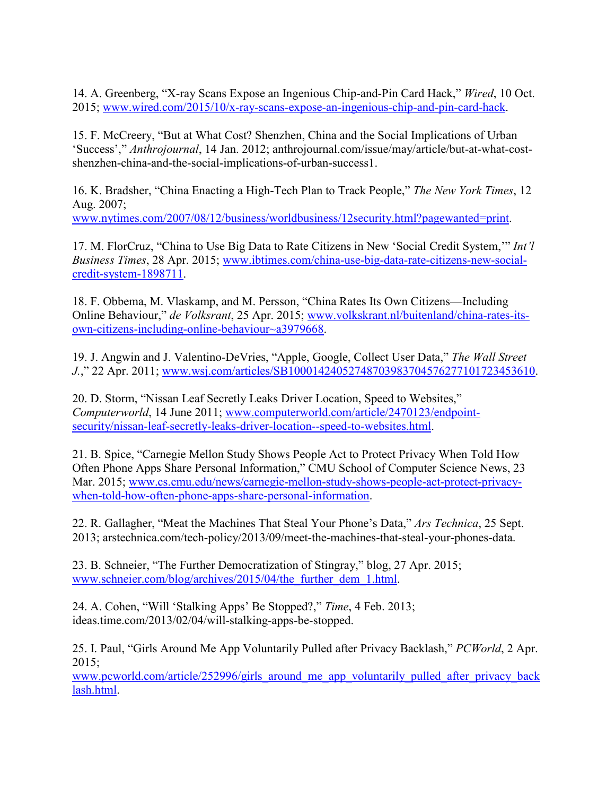14. A. Greenberg, "X-ray Scans Expose an Ingenious Chip-and-Pin Card Hack," *Wired*, 10 Oct. 2015; [www.wired.com/2015/10/x-ray-scans-expose-an-ingenious-chip-and-pin-card-hack.](http://www.wired.com/2015/10/x-ray-scans-expose-an-ingenious-chip-and-pin-card-hack)

15. F. McCreery, "But at What Cost? Shenzhen, China and the Social Implications of Urban 'Success'," *Anthrojournal*, 14 Jan. 2012; anthrojournal.com/issue/may/article/but-at-what-costshenzhen-china-and-the-social-implications-of-urban-success1.

16. K. Bradsher, "China Enacting a High-Tech Plan to Track People," *The New York Times*, 12 Aug. 2007;

[www.nytimes.com/2007/08/12/business/worldbusiness/12security.html?pagewanted=print.](http://www.nytimes.com/2007/08/12/business/worldbusiness/12security.html?pagewanted=print)

17. M. FlorCruz, "China to Use Big Data to Rate Citizens in New 'Social Credit System,'" *Int'l Business Times*, 28 Apr. 2015; [www.ibtimes.com/china-use-big-data-rate-citizens-new-social](http://www.ibtimes.com/china-use-big-data-rate-citizens-new-social-credit-system-1898711)[credit-system-1898711.](http://www.ibtimes.com/china-use-big-data-rate-citizens-new-social-credit-system-1898711)

18. F. Obbema, M. Vlaskamp, and M. Persson, "China Rates Its Own Citizens—Including Online Behaviour," *de Volksrant*, 25 Apr. 2015; [www.volkskrant.nl/buitenland/china-rates-its](http://www.volkskrant.nl/buitenland/china-rates-its-own-citizens-including-online-behaviour%7Ea3979668)[own-citizens-including-online-behaviour~a3979668.](http://www.volkskrant.nl/buitenland/china-rates-its-own-citizens-including-online-behaviour%7Ea3979668)

19. J. Angwin and J. Valentino-DeVries, "Apple, Google, Collect User Data," *The Wall Street J.*," 22 Apr. 2011; [www.wsj.com/articles/SB10001424052748703983704576277101723453610.](http://www.wsj.com/articles/SB10001424052748703983704576277101723453610)

20. D. Storm, "Nissan Leaf Secretly Leaks Driver Location, Speed to Websites," *Computerworld*, 14 June 2011; [www.computerworld.com/article/2470123/endpoint](http://www.computerworld.com/article/2470123/endpoint-security/nissan-leaf-secretly-leaks-driver-location--speed-to-websites.html)[security/nissan-leaf-secretly-leaks-driver-location--speed-to-websites.html.](http://www.computerworld.com/article/2470123/endpoint-security/nissan-leaf-secretly-leaks-driver-location--speed-to-websites.html)

21. B. Spice, "Carnegie Mellon Study Shows People Act to Protect Privacy When Told How Often Phone Apps Share Personal Information," CMU School of Computer Science News, 23 Mar. 2015; [www.cs.cmu.edu/news/carnegie-mellon-study-shows-people-act-protect-privacy](http://www.cs.cmu.edu/news/carnegie-mellon-study-shows-people-act-protect-privacy-when-told-how-often-phone-apps-share-personal-information)[when-told-how-often-phone-apps-share-personal-information.](http://www.cs.cmu.edu/news/carnegie-mellon-study-shows-people-act-protect-privacy-when-told-how-often-phone-apps-share-personal-information)

22. R. Gallagher, "Meat the Machines That Steal Your Phone's Data," *Ars Technica*, 25 Sept. 2013; arstechnica.com/tech-policy/2013/09/meet-the-machines-that-steal-your-phones-data.

23. B. Schneier, "The Further Democratization of Stingray," blog, 27 Apr. 2015; [www.schneier.com/blog/archives/2015/04/the\\_further\\_dem\\_1.html.](http://www.schneier.com/blog/archives/2015/04/the_further_dem_1.html)

24. A. Cohen, "Will 'Stalking Apps' Be Stopped?," *Time*, 4 Feb. 2013; ideas.time.com/2013/02/04/will-stalking-apps-be-stopped.

25. I. Paul, "Girls Around Me App Voluntarily Pulled after Privacy Backlash," *PCWorld*, 2 Apr. 2015;

[www.pcworld.com/article/252996/girls\\_around\\_me\\_app\\_voluntarily\\_pulled\\_after\\_privacy\\_back](http://www.pcworld.com/article/252996/girls_around_me_app_voluntarily_pulled_after_privacy_backlash.html) [lash.html.](http://www.pcworld.com/article/252996/girls_around_me_app_voluntarily_pulled_after_privacy_backlash.html)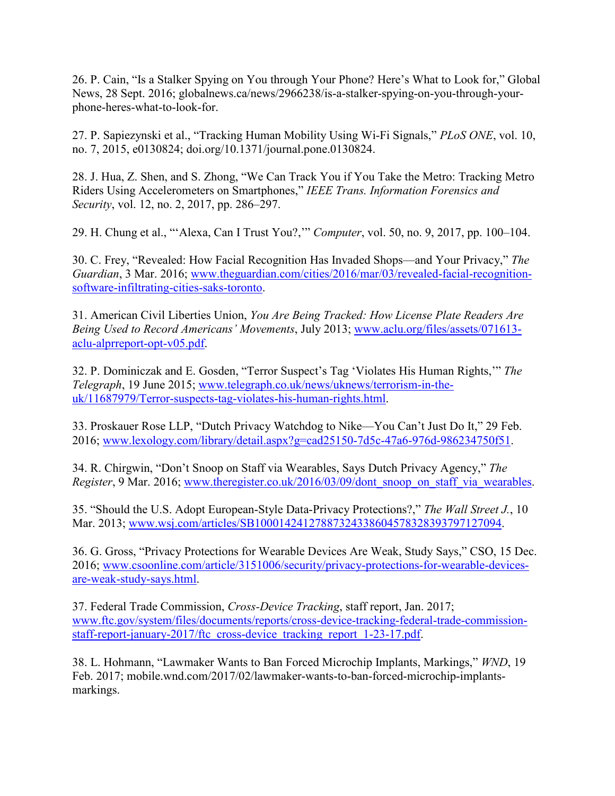26. P. Cain, "Is a Stalker Spying on You through Your Phone? Here's What to Look for," Global News, 28 Sept. 2016; globalnews.ca/news/2966238/is-a-stalker-spying-on-you-through-yourphone-heres-what-to-look-for.

27. P. Sapiezynski et al., "Tracking Human Mobility Using Wi-Fi Signals," *PLoS ONE*, vol. 10, no. 7, 2015, e0130824; doi.org/10.1371/journal.pone.0130824.

28. J. Hua, Z. Shen, and S. Zhong, "We Can Track You if You Take the Metro: Tracking Metro Riders Using Accelerometers on Smartphones," *IEEE Trans. Information Forensics and Security*, vol. 12, no. 2, 2017, pp. 286–297.

29. H. Chung et al., "'Alexa, Can I Trust You?,'" *Computer*, vol. 50, no. 9, 2017, pp. 100–104.

30. C. Frey, "Revealed: How Facial Recognition Has Invaded Shops—and Your Privacy," *The Guardian*, 3 Mar. 2016; [www.theguardian.com/cities/2016/mar/03/revealed-facial-recognition](http://www.theguardian.com/cities/2016/mar/03/revealed-facial-recognition-software-infiltrating-cities-saks-toronto)[software-infiltrating-cities-saks-toronto.](http://www.theguardian.com/cities/2016/mar/03/revealed-facial-recognition-software-infiltrating-cities-saks-toronto)

31. American Civil Liberties Union, *You Are Being Tracked: How License Plate Readers Are Being Used to Record Americans' Movements*, July 2013; [www.aclu.org/files/assets/071613](http://www.aclu.org/files/assets/071613-aclu-alprreport-opt-v05.pdf) [aclu-alprreport-opt-v05.pdf.](http://www.aclu.org/files/assets/071613-aclu-alprreport-opt-v05.pdf)

32. P. Dominiczak and E. Gosden, "Terror Suspect's Tag 'Violates His Human Rights,'" *The Telegraph*, 19 June 2015; [www.telegraph.co.uk/news/uknews/terrorism-in-the](http://www.telegraph.co.uk/news/uknews/terrorism-in-the-uk/11687979/Terror-suspects-tag-violates-his-human-rights.html)[uk/11687979/Terror-suspects-tag-violates-his-human-rights.html.](http://www.telegraph.co.uk/news/uknews/terrorism-in-the-uk/11687979/Terror-suspects-tag-violates-his-human-rights.html)

33. Proskauer Rose LLP, "Dutch Privacy Watchdog to Nike—You Can't Just Do It," 29 Feb. 2016; [www.lexology.com/library/detail.aspx?g=cad25150-7d5c-47a6-976d-986234750f51.](http://www.lexology.com/library/detail.aspx?g=cad25150-7d5c-47a6-976d-986234750f51)

34. R. Chirgwin, "Don't Snoop on Staff via Wearables, Says Dutch Privacy Agency," *The Register*, 9 Mar. 2016; [www.theregister.co.uk/2016/03/09/dont\\_snoop\\_on\\_staff\\_via\\_wearables.](http://www.theregister.co.uk/2016/03/09/dont_snoop_on_staff_via_wearables)

35. "Should the U.S. Adopt European-Style Data-Privacy Protections?," *The Wall Street J.*, 10 Mar. 2013; [www.wsj.com/articles/SB10001424127887324338604578328393797127094.](http://www.wsj.com/articles/SB10001424127887324338604578328393797127094)

36. G. Gross, "Privacy Protections for Wearable Devices Are Weak, Study Says," CSO, 15 Dec. 2016; [www.csoonline.com/article/3151006/security/privacy-protections-for-wearable-devices](http://www.csoonline.com/article/3151006/security/privacy-protections-for-wearable-devices-are-weak-study-says.html)[are-weak-study-says.html.](http://www.csoonline.com/article/3151006/security/privacy-protections-for-wearable-devices-are-weak-study-says.html)

37. Federal Trade Commission, *Cross-Device Tracking*, staff report, Jan. 2017; [www.ftc.gov/system/files/documents/reports/cross-device-tracking-federal-trade-commission](http://www.ftc.gov/system/files/documents/reports/cross-device-tracking-federal-trade-commission-staff-report-january-2017/ftc_cross-device_tracking_report_1-23-17.pdf)[staff-report-january-2017/ftc\\_cross-device\\_tracking\\_report\\_1-23-17.pdf.](http://www.ftc.gov/system/files/documents/reports/cross-device-tracking-federal-trade-commission-staff-report-january-2017/ftc_cross-device_tracking_report_1-23-17.pdf)

38. L. Hohmann, "Lawmaker Wants to Ban Forced Microchip Implants, Markings," *WND*, 19 Feb. 2017; mobile.wnd.com/2017/02/lawmaker-wants-to-ban-forced-microchip-implantsmarkings.